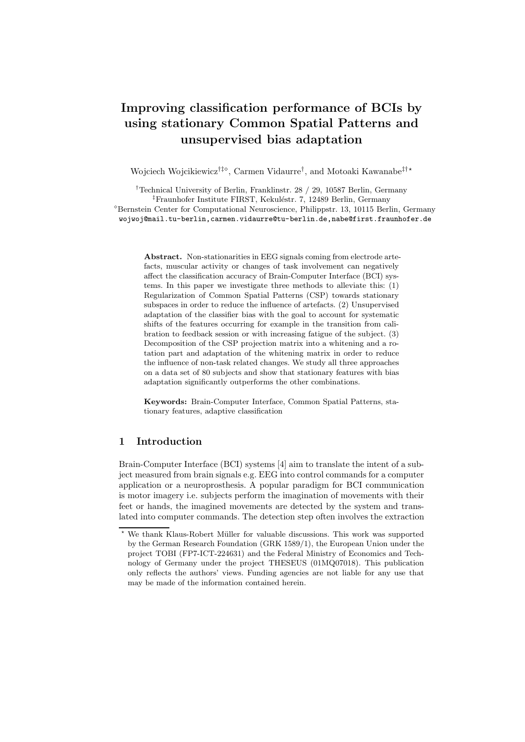# Improving classification performance of BCIs by using stationary Common Spatial Patterns and unsupervised bias adaptation

Wojciech Wojcikiewicz<sup>†‡◇</sup>, Carmen Vidaurre<sup>†</sup>, and Motoaki Kawanabe<sup>‡†</sup>\*

†Technical University of Berlin, Franklinstr. 28 / 29, 10587 Berlin, Germany <sup>‡</sup>Fraunhofer Institute FIRST, Kekuléstr. 7, 12489 Berlin, Germany <sup>⋄</sup>Bernstein Center for Computational Neuroscience, Philippstr. 13, 10115 Berlin, Germany wojwoj@mail.tu-berlin,carmen.vidaurre@tu-berlin.de,nabe@first.fraunhofer.de

Abstract. Non-stationarities in EEG signals coming from electrode artefacts, muscular activity or changes of task involvement can negatively affect the classification accuracy of Brain-Computer Interface (BCI) systems. In this paper we investigate three methods to alleviate this: (1) Regularization of Common Spatial Patterns (CSP) towards stationary subspaces in order to reduce the influence of artefacts. (2) Unsupervised adaptation of the classifier bias with the goal to account for systematic shifts of the features occurring for example in the transition from calibration to feedback session or with increasing fatigue of the subject. (3) Decomposition of the CSP projection matrix into a whitening and a rotation part and adaptation of the whitening matrix in order to reduce the influence of non-task related changes. We study all three approaches on a data set of 80 subjects and show that stationary features with bias adaptation significantly outperforms the other combinations.

Keywords: Brain-Computer Interface, Common Spatial Patterns, stationary features, adaptive classification

# 1 Introduction

Brain-Computer Interface (BCI) systems [4] aim to translate the intent of a subject measured from brain signals e.g. EEG into control commands for a computer application or a neuroprosthesis. A popular paradigm for BCI communication is motor imagery i.e. subjects perform the imagination of movements with their feet or hands, the imagined movements are detected by the system and translated into computer commands. The detection step often involves the extraction

We thank Klaus-Robert Müller for valuable discussions. This work was supported by the German Research Foundation (GRK 1589/1), the European Union under the project TOBI (FP7-ICT-224631) and the Federal Ministry of Economics and Technology of Germany under the project THESEUS (01MQ07018). This publication only reflects the authors' views. Funding agencies are not liable for any use that may be made of the information contained herein.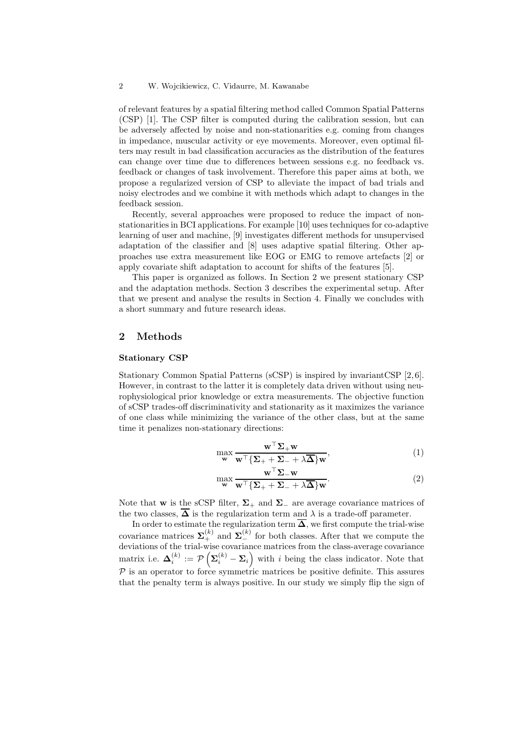of relevant features by a spatial filtering method called Common Spatial Patterns (CSP) [1]. The CSP filter is computed during the calibration session, but can be adversely affected by noise and non-stationarities e.g. coming from changes in impedance, muscular activity or eye movements. Moreover, even optimal filters may result in bad classification accuracies as the distribution of the features can change over time due to differences between sessions e.g. no feedback vs. feedback or changes of task involvement. Therefore this paper aims at both, we propose a regularized version of CSP to alleviate the impact of bad trials and noisy electrodes and we combine it with methods which adapt to changes in the feedback session.

Recently, several approaches were proposed to reduce the impact of nonstationarities in BCI applications. For example [10] uses techniques for co-adaptive learning of user and machine, [9] investigates different methods for unsupervised adaptation of the classifier and [8] uses adaptive spatial filtering. Other approaches use extra measurement like EOG or EMG to remove artefacts [2] or apply covariate shift adaptation to account for shifts of the features [5].

This paper is organized as follows. In Section 2 we present stationary CSP and the adaptation methods. Section 3 describes the experimental setup. After that we present and analyse the results in Section 4. Finally we concludes with a short summary and future research ideas.

## 2 Methods

#### Stationary CSP

Stationary Common Spatial Patterns (sCSP) is inspired by invariantCSP [2, 6]. However, in contrast to the latter it is completely data driven without using neurophysiological prior knowledge or extra measurements. The objective function of sCSP trades-off discriminativity and stationarity as it maximizes the variance of one class while minimizing the variance of the other class, but at the same time it penalizes non-stationary directions:

$$
\max_{\mathbf{w}} \frac{\mathbf{w}^{\top} \mathbf{\Sigma}_{+} \mathbf{w}}{\mathbf{w}^{\top} \{\mathbf{\Sigma}_{+} + \mathbf{\Sigma}_{-} + \lambda \overline{\mathbf{\Delta}}\} \mathbf{w}},
$$
\n(1)

$$
\max_{\mathbf{w}} \frac{\mathbf{w}^{\top} \Sigma_{-\mathbf{w}}}{\mathbf{w}^{\top} \{\Sigma_{+} + \Sigma_{-} + \lambda \overline{\mathbf{\Delta}}\} \mathbf{w}}.
$$
 (2)

Note that w is the sCSP filter,  $\Sigma_+$  and  $\Sigma_-$  are average covariance matrices of the two classes,  $\overline{\Delta}$  is the regularization term and  $\lambda$  is a trade-off parameter.

In order to estimate the regularization term  $\overline{\Delta}$ , we first compute the trial-wise covariance matrices  $\Sigma_{+}^{(k)}$  and  $\Sigma_{-}^{(k)}$  for both classes. After that we compute the deviations of the trial-wise covariance matrices from the class-average covariance matrix i.e.  $\mathbf{\Delta}_i^{(k)} := \mathcal{P}\left(\mathbf{\Sigma}_i^{(k)} - \mathbf{\Sigma}_i\right)$  with i being the class indicator. Note that  $P$  is an operator to force symmetric matrices be positive definite. This assures that the penalty term is always positive. In our study we simply flip the sign of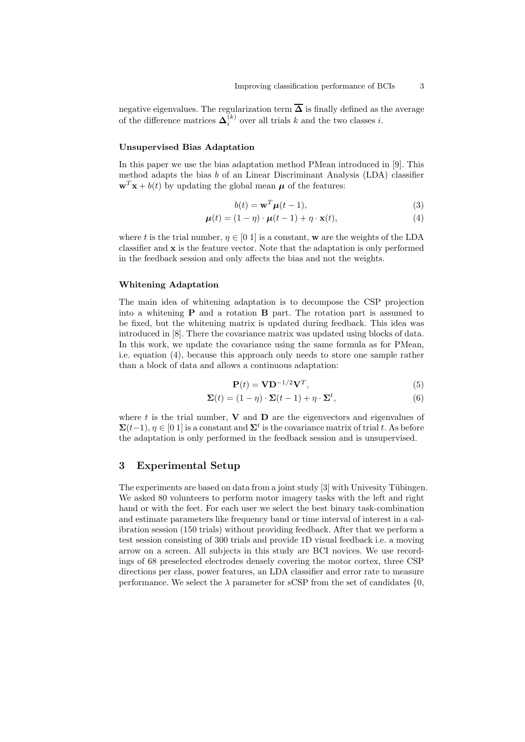negative eigenvalues. The regularization term  $\overline{\Delta}$  is finally defined as the average of the difference matrices  $\Delta_i^{(k)}$  over all trials k and the two classes i.

#### Unsupervised Bias Adaptation

In this paper we use the bias adaptation method PMean introduced in [9]. This method adapts the bias b of an Linear Discriminant Analysis (LDA) classifier  $\mathbf{w}^T \mathbf{x} + b(t)$  by updating the global mean  $\mu$  of the features:

$$
b(t) = \mathbf{w}^T \boldsymbol{\mu}(t-1),
$$
\n(3)

$$
\boldsymbol{\mu}(t) = (1 - \eta) \cdot \boldsymbol{\mu}(t - 1) + \eta \cdot \mathbf{x}(t), \tag{4}
$$

where t is the trial number,  $\eta \in [0, 1]$  is a constant, w are the weights of the LDA classifier and  $x$  is the feature vector. Note that the adaptation is only performed in the feedback session and only affects the bias and not the weights.

#### Whitening Adaptation

The main idea of whitening adaptation is to decompose the CSP projection into a whitening  $P$  and a rotation  $B$  part. The rotation part is assumed to be fixed, but the whitening matrix is updated during feedback. This idea was introduced in [8]. There the covariance matrix was updated using blocks of data. In this work, we update the covariance using the same formula as for PMean, i.e. equation (4), because this approach only needs to store one sample rather than a block of data and allows a continuous adaptation:

$$
\mathbf{P}(t) = \mathbf{V} \mathbf{D}^{-1/2} \mathbf{V}^T,\tag{5}
$$

$$
\Sigma(t) = (1 - \eta) \cdot \Sigma(t - 1) + \eta \cdot \Sigma^{t}, \qquad (6)
$$

where t is the trial number,  $V$  and  $D$  are the eigenvectors and eigenvalues of  $\Sigma(t-1), \eta \in [0,1]$  is a constant and  $\Sigma<sup>t</sup>$  is the covariance matrix of trial t. As before the adaptation is only performed in the feedback session and is unsupervised.

## 3 Experimental Setup

The experiments are based on data from a joint study  $[3]$  with Univesity Tübingen. We asked 80 volunteers to perform motor imagery tasks with the left and right hand or with the feet. For each user we select the best binary task-combination and estimate parameters like frequency band or time interval of interest in a calibration session (150 trials) without providing feedback. After that we perform a test session consisting of 300 trials and provide 1D visual feedback i.e. a moving arrow on a screen. All subjects in this study are BCI novices. We use recordings of 68 preselected electrodes densely covering the motor cortex, three CSP directions per class, power features, an LDA classifier and error rate to measure performance. We select the  $\lambda$  parameter for sCSP from the set of candidates  $\{0,$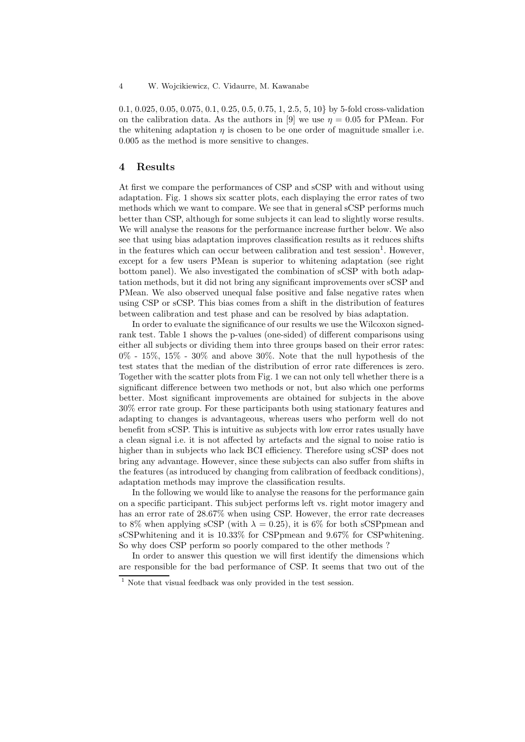0.1, 0.025, 0.05, 0.075, 0.1, 0.25, 0.5, 0.75, 1, 2.5, 5, 10} by 5-fold cross-validation on the calibration data. As the authors in [9] we use  $\eta = 0.05$  for PMean. For the whitening adaptation  $\eta$  is chosen to be one order of magnitude smaller i.e. 0.005 as the method is more sensitive to changes.

## 4 Results

At first we compare the performances of CSP and sCSP with and without using adaptation. Fig. 1 shows six scatter plots, each displaying the error rates of two methods which we want to compare. We see that in general sCSP performs much better than CSP, although for some subjects it can lead to slightly worse results. We will analyse the reasons for the performance increase further below. We also see that using bias adaptation improves classification results as it reduces shifts in the features which can occur between calibration and test session<sup>1</sup>. However, except for a few users PMean is superior to whitening adaptation (see right bottom panel). We also investigated the combination of sCSP with both adaptation methods, but it did not bring any significant improvements over sCSP and PMean. We also observed unequal false positive and false negative rates when using CSP or sCSP. This bias comes from a shift in the distribution of features between calibration and test phase and can be resolved by bias adaptation.

In order to evaluate the significance of our results we use the Wilcoxon signedrank test. Table 1 shows the p-values (one-sided) of different comparisons using either all subjects or dividing them into three groups based on their error rates:  $0\%$  - 15%, 15% - 30% and above 30%. Note that the null hypothesis of the test states that the median of the distribution of error rate differences is zero. Together with the scatter plots from Fig. 1 we can not only tell whether there is a significant difference between two methods or not, but also which one performs better. Most significant improvements are obtained for subjects in the above 30% error rate group. For these participants both using stationary features and adapting to changes is advantageous, whereas users who perform well do not benefit from sCSP. This is intuitive as subjects with low error rates usually have a clean signal i.e. it is not affected by artefacts and the signal to noise ratio is higher than in subjects who lack BCI efficiency. Therefore using sCSP does not bring any advantage. However, since these subjects can also suffer from shifts in the features (as introduced by changing from calibration of feedback conditions), adaptation methods may improve the classification results.

In the following we would like to analyse the reasons for the performance gain on a specific participant. This subject performs left vs. right motor imagery and has an error rate of 28.67% when using CSP. However, the error rate decreases to 8% when applying sCSP (with  $\lambda = 0.25$ ), it is 6% for both sCSPpmean and sCSPwhitening and it is 10.33% for CSPpmean and 9.67% for CSPwhitening. So why does CSP perform so poorly compared to the other methods ?

In order to answer this question we will first identify the dimensions which are responsible for the bad performance of CSP. It seems that two out of the

 $^{\rm 1}$  Note that visual feedback was only provided in the test session.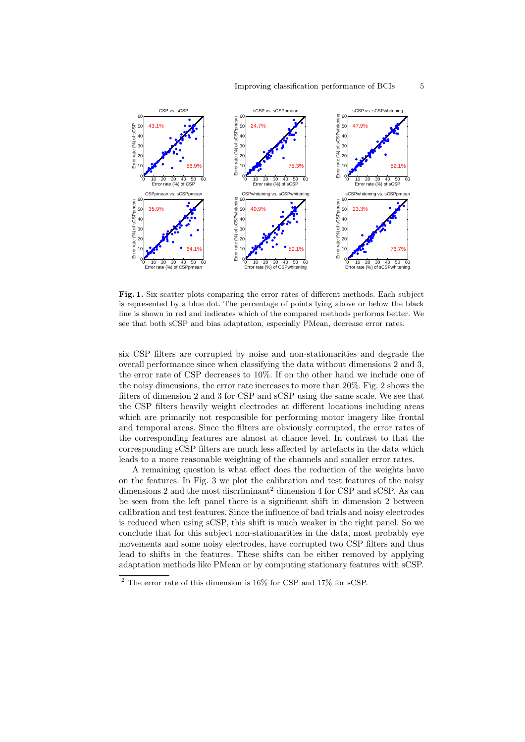

Fig. 1. Six scatter plots comparing the error rates of different methods. Each subject is represented by a blue dot. The percentage of points lying above or below the black line is shown in red and indicates which of the compared methods performs better. We see that both sCSP and bias adaptation, especially PMean, decrease error rates.

six CSP filters are corrupted by noise and non-stationarities and degrade the overall performance since when classifying the data without dimensions 2 and 3, the error rate of CSP decreases to 10%. If on the other hand we include one of the noisy dimensions, the error rate increases to more than 20%. Fig. 2 shows the filters of dimension 2 and 3 for CSP and sCSP using the same scale. We see that the CSP filters heavily weight electrodes at different locations including areas which are primarily not responsible for performing motor imagery like frontal and temporal areas. Since the filters are obviously corrupted, the error rates of the corresponding features are almost at chance level. In contrast to that the corresponding sCSP filters are much less affected by artefacts in the data which leads to a more reasonable weighting of the channels and smaller error rates.

A remaining question is what effect does the reduction of the weights have on the features. In Fig. 3 we plot the calibration and test features of the noisy dimensions 2 and the most discriminant<sup>2</sup> dimension 4 for CSP and sCSP. As can be seen from the left panel there is a significant shift in dimension 2 between calibration and test features. Since the influence of bad trials and noisy electrodes is reduced when using sCSP, this shift is much weaker in the right panel. So we conclude that for this subject non-stationarities in the data, most probably eye movements and some noisy electrodes, have corrupted two CSP filters and thus lead to shifts in the features. These shifts can be either removed by applying adaptation methods like PMean or by computing stationary features with sCSP.

 $^2$  The error rate of this dimension is 16% for CSP and 17% for sCSP.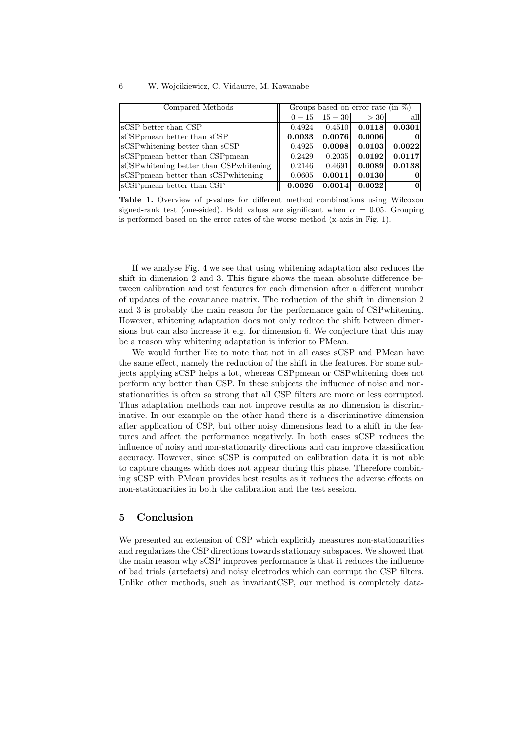#### 6 W. Wojcikiewicz, C. Vidaurre, M. Kawanabe

| Compared Methods                         | Groups based on error rate (in $\%$ ) |                 |                 |          |
|------------------------------------------|---------------------------------------|-----------------|-----------------|----------|
|                                          |                                       | $0-15$ 15 $-30$ | $>$ 30          | all      |
| sCSP better than CSP                     | 0.4924                                |                 | $0.4510$ 0.0118 | 0.0301   |
| sCSPpmean better than sCSP               | 0.0033                                |                 | $0.0076$ 0.0006 | 01       |
| sCSP whitening better than sCSP          | 0.4925                                | 0.0098          | 0.0103          | 0.0022   |
| sCSPpmean better than CSPpmean           | 0.2429                                |                 | $0.2035$ 0.0192 | 0.0117   |
| sCSP whitening better than CSP whitening | 0.2146                                | 0.4691          | 0.0089          | 0.0138   |
| sCSPpmean better than sCSPwhitening      | 0.0605                                | 0.0011          | 0.0130          | $\Omega$ |
| sCSPpmean better than CSP                | 0.0026                                | 0.0014          | 0.0022          | $\Omega$ |

Table 1. Overview of p-values for different method combinations using Wilcoxon signed-rank test (one-sided). Bold values are significant when  $\alpha = 0.05$ . Grouping is performed based on the error rates of the worse method (x-axis in Fig. 1).

If we analyse Fig. 4 we see that using whitening adaptation also reduces the shift in dimension 2 and 3. This figure shows the mean absolute difference between calibration and test features for each dimension after a different number of updates of the covariance matrix. The reduction of the shift in dimension 2 and 3 is probably the main reason for the performance gain of CSPwhitening. However, whitening adaptation does not only reduce the shift between dimensions but can also increase it e.g. for dimension 6. We conjecture that this may be a reason why whitening adaptation is inferior to PMean.

We would further like to note that not in all cases sCSP and PMean have the same effect, namely the reduction of the shift in the features. For some subjects applying sCSP helps a lot, whereas CSPpmean or CSPwhitening does not perform any better than CSP. In these subjects the influence of noise and nonstationarities is often so strong that all CSP filters are more or less corrupted. Thus adaptation methods can not improve results as no dimension is discriminative. In our example on the other hand there is a discriminative dimension after application of CSP, but other noisy dimensions lead to a shift in the features and affect the performance negatively. In both cases sCSP reduces the influence of noisy and non-stationarity directions and can improve classification accuracy. However, since sCSP is computed on calibration data it is not able to capture changes which does not appear during this phase. Therefore combining sCSP with PMean provides best results as it reduces the adverse effects on non-stationarities in both the calibration and the test session.

## 5 Conclusion

We presented an extension of CSP which explicitly measures non-stationarities and regularizes the CSP directions towards stationary subspaces. We showed that the main reason why sCSP improves performance is that it reduces the influence of bad trials (artefacts) and noisy electrodes which can corrupt the CSP filters. Unlike other methods, such as invariantCSP, our method is completely data-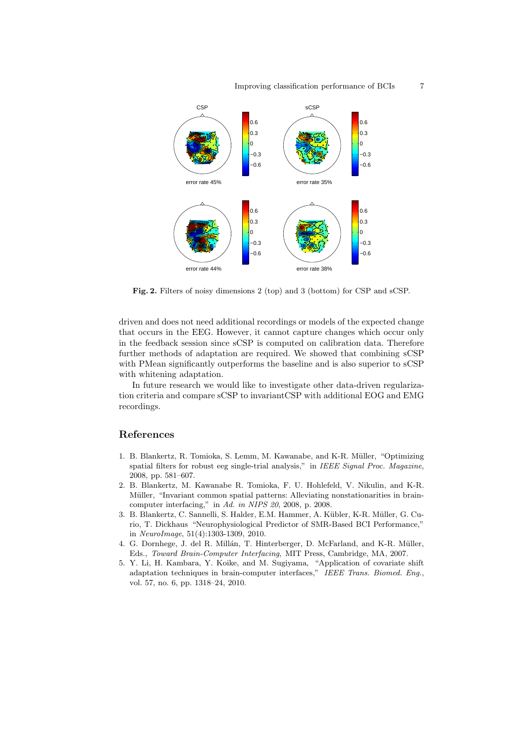#### Improving classification performance of BCIs 7



Fig. 2. Filters of noisy dimensions 2 (top) and 3 (bottom) for CSP and sCSP.

driven and does not need additional recordings or models of the expected change that occurs in the EEG. However, it cannot capture changes which occur only in the feedback session since sCSP is computed on calibration data. Therefore further methods of adaptation are required. We showed that combining sCSP with PMean significantly outperforms the baseline and is also superior to sCSP with whitening adaptation.

In future research we would like to investigate other data-driven regularization criteria and compare sCSP to invariantCSP with additional EOG and EMG recordings.

## References

- 1. B. Blankertz, R. Tomioka, S. Lemm, M. Kawanabe, and K-R. Müller, "Optimizing spatial filters for robust eeg single-trial analysis," in IEEE Signal Proc. Magazine, 2008, pp. 581–607.
- 2. B. Blankertz, M. Kawanabe R. Tomioka, F. U. Hohlefeld, V. Nikulin, and K-R. Müller, "Invariant common spatial patterns: Alleviating nonstationarities in braincomputer interfacing," in Ad. in NIPS 20, 2008, p. 2008.
- 3. B. Blankertz, C. Sannelli, S. Halder, E.M. Hammer, A. K¨ubler, K-R. M¨uller, G. Curio, T. Dickhaus "Neurophysiological Predictor of SMR-Based BCI Performance," in NeuroImage, 51(4):1303-1309, 2010.
- 4. G. Dornhege, J. del R. Millán, T. Hinterberger, D. McFarland, and K-R. Müller, Eds., Toward Brain-Computer Interfacing, MIT Press, Cambridge, MA, 2007.
- 5. Y. Li, H. Kambara, Y. Koike, and M. Sugiyama, "Application of covariate shift adaptation techniques in brain-computer interfaces," IEEE Trans. Biomed. Eng., vol. 57, no. 6, pp. 1318–24, 2010.